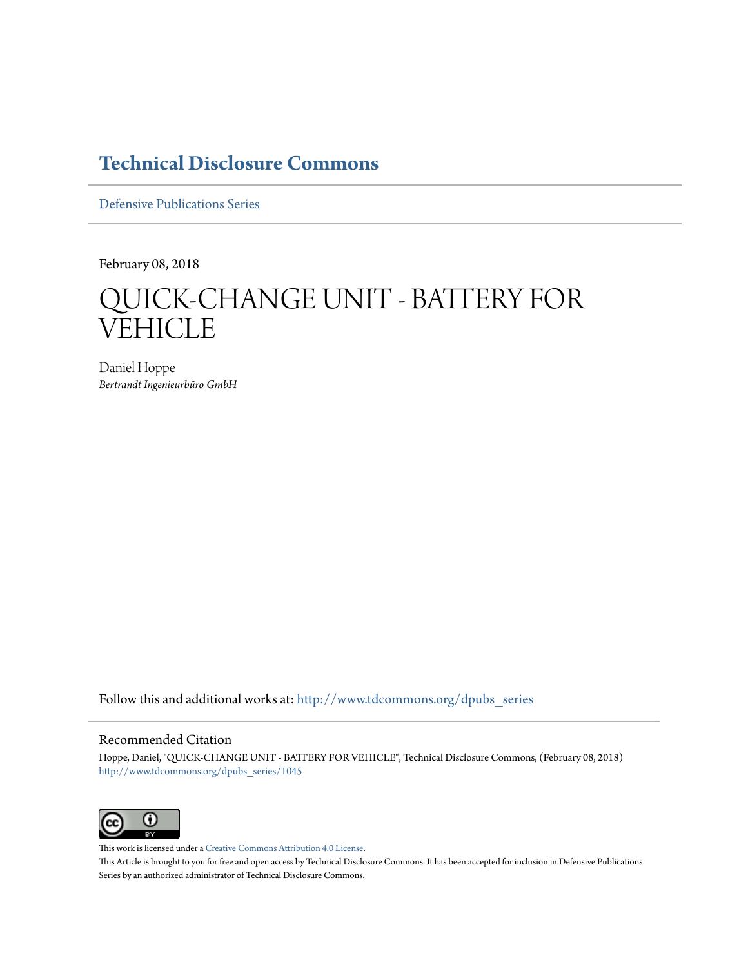# **[Technical Disclosure Commons](http://www.tdcommons.org?utm_source=www.tdcommons.org%2Fdpubs_series%2F1045&utm_medium=PDF&utm_campaign=PDFCoverPages)**

[Defensive Publications Series](http://www.tdcommons.org/dpubs_series?utm_source=www.tdcommons.org%2Fdpubs_series%2F1045&utm_medium=PDF&utm_campaign=PDFCoverPages)

February 08, 2018

# QUICK-CHANGE UNIT - BATTERY FOR **VEHICLE**

Daniel Hoppe *Bertrandt Ingenieurbüro GmbH*

Follow this and additional works at: [http://www.tdcommons.org/dpubs\\_series](http://www.tdcommons.org/dpubs_series?utm_source=www.tdcommons.org%2Fdpubs_series%2F1045&utm_medium=PDF&utm_campaign=PDFCoverPages)

### Recommended Citation

Hoppe, Daniel, "QUICK-CHANGE UNIT - BATTERY FOR VEHICLE", Technical Disclosure Commons, (February 08, 2018) [http://www.tdcommons.org/dpubs\\_series/1045](http://www.tdcommons.org/dpubs_series/1045?utm_source=www.tdcommons.org%2Fdpubs_series%2F1045&utm_medium=PDF&utm_campaign=PDFCoverPages)



This work is licensed under a [Creative Commons Attribution 4.0 License.](http://creativecommons.org/licenses/by/4.0/deed.en_US) This Article is brought to you for free and open access by Technical Disclosure Commons. It has been accepted for inclusion in Defensive Publications Series by an authorized administrator of Technical Disclosure Commons.